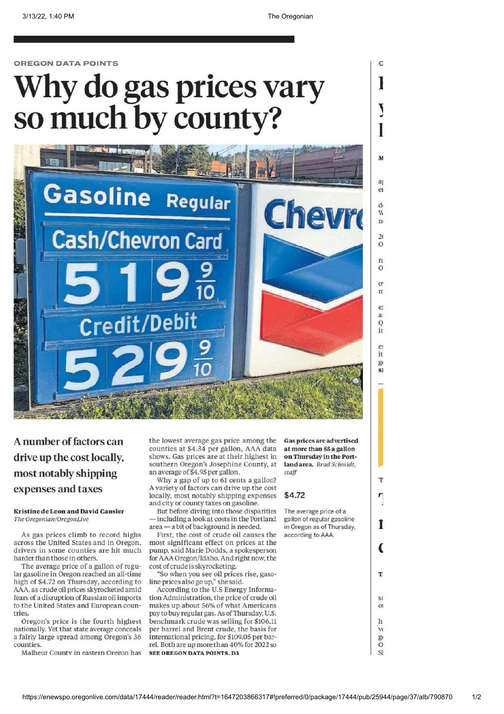c

]

~ I

 $\overline{M}$ 

a

 $_{\text{Pl}}$ 

d  $\overline{M}$  $\mathbf{n}$ 

 $\overline{2}1$ 0 rE  $\Omega$ 0' rr e:  $a$ Q ir

 $\mathbf{e}$ it  $\mathcal{Q}$  $s1$ 

,.

 $\mathbf{r}$ 

l

(

T.

S<sub>C</sub>  $\Omega$ h VI g1  $\overline{O}$ SI

OREGON DATA POINTS

# Why do gas prices vary so much by county?



A number of factors can drive up the cost locally, most notably shipping expenses and taxes

Kristine de Leon and David Cansler The Oregonian/OregonLive

As gas prices climb to record highs across the United States and in Oregon, drivers in some counties are hit much harder than those in others.

The average price of a gallon of regular gasoline in Oregon reached an all-time high of \$4.72 on Thursday, according to AAA, as crude oil prices skyrocketed amid fears of a disruption of Russian oil imports to the United States and European countries.

Oregon's price is the fourth highest nationally. Yet that state average conceals a fairly large spread among Oregon's 36 counties.

Malheur Countv in eastern Oregon has

the lowest average gas price among the counties at \$4.34 per gallon, AAA data shows. Gas prices are at their highest in southern Oregon's Josephine County, at an average of \$4. 95 per gallon.

Why a gap of up to 61 cents a gallon? A variety of factors can drive up the cost locally, most notably shipping expenses and city or county taxes on gasoline.

But before diving into those disparities - including a look at costs in the Portland area - a bit of background is needed.

First, the cost of crude oil causes the most significant effect on prices at the pump, said Marie Dodds, a spokesperson for AAA Oregon/Idaho. And right now, the cost of crude is skyrocketing.

"So when you see oil prices rise, gasoline prices also go up," she said.

According to the U.S Energy Information Administration, the price of crude oil makes up about 56% of what Americans pay to buy regular gas. As of Thursday, U.S. benchmark crude was selling for \$106.11 per barrel and Brent crude, the basis for international pricing, for \$109.05 per barrel. Both are up more than 40% for 2022so **SEE OREGON DATA POINTS, D3** 

Gas prices are advertised at more than SS a gallon on Thursday in the Portland area. Brad Schmidt, *sea.ff* 

# \$4.72

The average price of a gallon of regular gasoline in Oregon as of Thursday, according to AAA